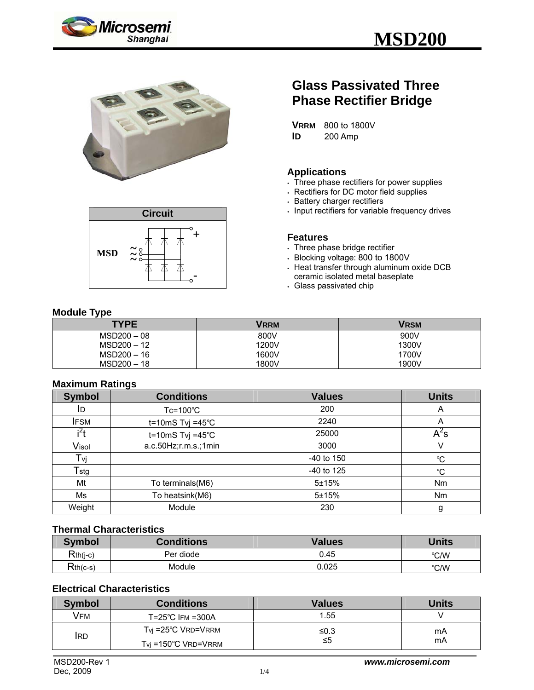





# **Glass Passivated Three Phase Rectifier Bridge**

**VRRM** 800 to 1800V **ID** 200 Amp

## **Applications**

- $\overline{\phantom{a}}$ . Three phase rectifiers for power supplies
- . Rectifiers for DC motor field supplies
- **Battery charger rectifiers**
- Input rectifiers for variable frequency drives

#### **Features**

- . Three phase bridge rectifier
- <sup>y</sup> Blocking voltage: 800 to 1800V
- $\cdot$  Heat transfer through aluminum oxide DCB ceramic isolated metal baseplate
- . Glass passivated chip

# **Module Type**

| . .<br><b>TYPE</b> | <b>VRRM</b> | <b>VRSM</b> |
|--------------------|-------------|-------------|
| $MSD200 - 08$      | 800V        | 900V        |
| MSD200 - 12        | 1200V       | 1300V       |
| MSD200 - 16        | 1600V       | 1700V       |
| MSD200 - 18        | 1800V       | 1900V       |

# **Maximum Ratings**

| <b>Symbol</b>    | <b>Conditions</b>            | <b>Values</b> | <b>Units</b>             |
|------------------|------------------------------|---------------|--------------------------|
| ID               | $Tc = 100^{\circ}C$          | 200           | A                        |
| <b>IFSM</b>      | t=10mS Tvj =45 $^{\circ}$ C  | 2240          | A                        |
| i <sup>2</sup> t | $t = 10 \text{mS}$ Tvj =45°C | 25000         | $\mathsf{A}^2\mathsf{s}$ |
| Visol            | a.c.50Hz;r.m.s.;1min         | 3000          | v                        |
| Tvj              |                              | $-40$ to 150  | $^{\circ}C$              |
| $T_{\rm stg}$    |                              | -40 to 125    | °C                       |
| Mt               | To terminals(M6)             | 5±15%         | Nm                       |
| Ms               | To heatsink(M6)              | 5±15%         | N <sub>m</sub>           |
| Weight           | Module                       | 230           | g                        |

#### **Thermal Characteristics**

| <b>Symbol</b> | <b>Conditions</b> | <b>Values</b> | <b>Units</b> |
|---------------|-------------------|---------------|--------------|
| $Rth(j-c)$    | Per diode         | 0.45          | °C/W         |
| $Rth(c-s)$    | Module            | 0.025         | °C/W         |

# **Electrical Characteristics**

| <b>Symbol</b> | <b>Conditions</b>               | <b>Values</b> | <b>Units</b> |
|---------------|---------------------------------|---------------|--------------|
| VFM           | $T = 25^{\circ}$ C IFM = 300A   | 1.55          |              |
| <b>IRD</b>    | $T_{\rm VI}$ =25°C VRD=VRRM     | ≤0.3          | mA           |
|               | $T_{\text{VI}}$ =150°C VRD=VRRM | ≤5            | mA           |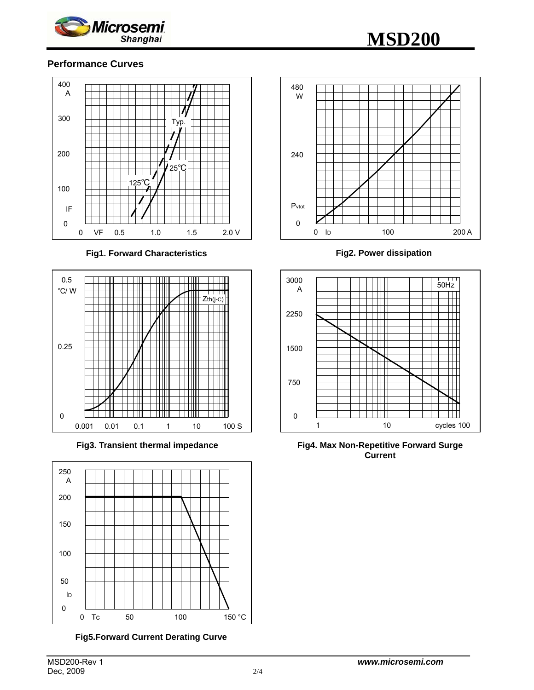

# **MSD200**

# **Performance Curves**



**Fig1. Forward Characteristics** 



**Fig3. Transient thermal impedance** 



**Fig5.Forward Current Derating Curve** 



**Fig2. Power dissipation**



**Fig4. Max Non-Repetitive Forward Surge Current**